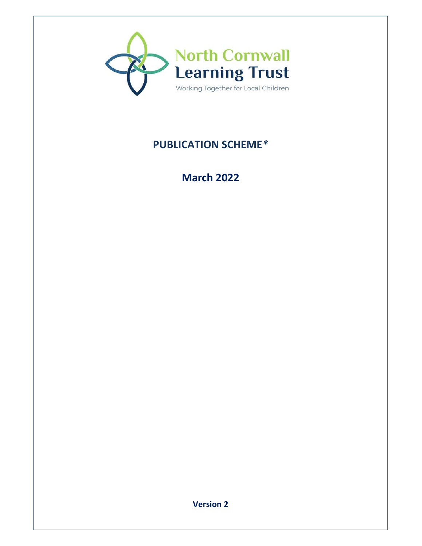

# **PUBLICATION SCHEME***\**

# **March 2022**

**Version 2**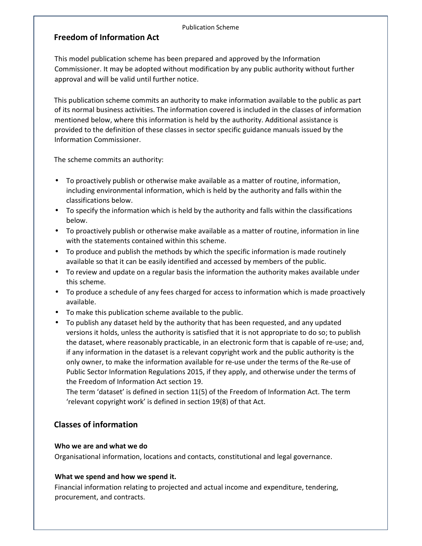#### Publication Scheme

## **Freedom of Information Act**

This model publication scheme has been prepared and approved by the Information Commissioner. It may be adopted without modification by any public authority without further approval and will be valid until further notice.

This publication scheme commits an authority to make information available to the public as part of its normal business activities. The information covered is included in the classes of information mentioned below, where this information is held by the authority. Additional assistance is provided to the definition of these classes in sector specific guidance manuals issued by the Information Commissioner.

The scheme commits an authority:

- To proactively publish or otherwise make available as a matter of routine, information, including environmental information, which is held by the authority and falls within the classifications below.
- To specify the information which is held by the authority and falls within the classifications below.
- To proactively publish or otherwise make available as a matter of routine, information in line with the statements contained within this scheme.
- To produce and publish the methods by which the specific information is made routinely available so that it can be easily identified and accessed by members of the public.
- To review and update on a regular basis the information the authority makes available under this scheme.
- To produce a schedule of any fees charged for access to information which is made proactively available.
- To make this publication scheme available to the public.
- To publish any dataset held by the authority that has been requested, and any updated versions it holds, unless the authority is satisfied that it is not appropriate to do so; to publish the dataset, where reasonably practicable, in an electronic form that is capable of re-use; and, if any information in the dataset is a relevant copyright work and the public authority is the only owner, to make the information available for re-use under the terms of the Re-use of Public Sector Information Regulations 2015, if they apply, and otherwise under the terms of the Freedom of Information Act section 19.

The term 'dataset' is defined in section 11(5) of the Freedom of Information Act. The term 'relevant copyright work' is defined in section 19(8) of that Act.

## **Classes of information**

#### **Who we are and what we do**

Organisational information, locations and contacts, constitutional and legal governance.

#### **What we spend and how we spend it.**

Financial information relating to projected and actual income and expenditure, tendering, procurement, and contracts.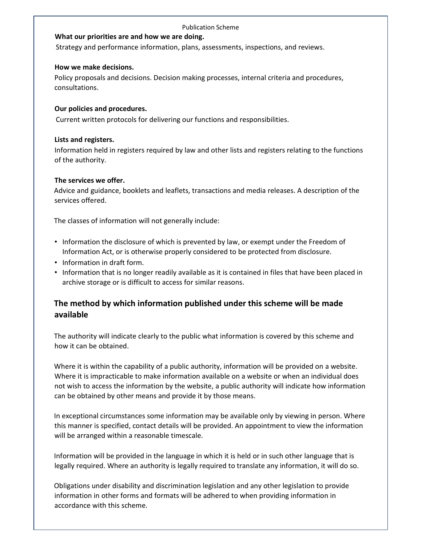#### Publication Scheme

#### **What our priorities are and how we are doing.**

Strategy and performance information, plans, assessments, inspections, and reviews.

#### **How we make decisions.**

Policy proposals and decisions. Decision making processes, internal criteria and procedures, consultations.

#### **Our policies and procedures.**

Current written protocols for delivering our functions and responsibilities.

#### **Lists and registers.**

Information held in registers required by law and other lists and registers relating to the functions of the authority.

#### **The services we offer.**

Advice and guidance, booklets and leaflets, transactions and media releases. A description of the services offered.

The classes of information will not generally include:

- Information the disclosure of which is prevented by law, or exempt under the Freedom of Information Act, or is otherwise properly considered to be protected from disclosure.
- Information in draft form.
- Information that is no longer readily available as it is contained in files that have been placed in archive storage or is difficult to access for similar reasons.

# **The method by which information published under this scheme will be made available**

The authority will indicate clearly to the public what information is covered by this scheme and how it can be obtained.

Where it is within the capability of a public authority, information will be provided on a website. Where it is impracticable to make information available on a website or when an individual does not wish to access the information by the website, a public authority will indicate how information can be obtained by other means and provide it by those means.

In exceptional circumstances some information may be available only by viewing in person. Where this manner is specified, contact details will be provided. An appointment to view the information will be arranged within a reasonable timescale.

Information will be provided in the language in which it is held or in such other language that is legally required. Where an authority is legally required to translate any information, it will do so.

Obligations under disability and discrimination legislation and any other legislation to provide information in other forms and formats will be adhered to when providing information in accordance with this scheme.